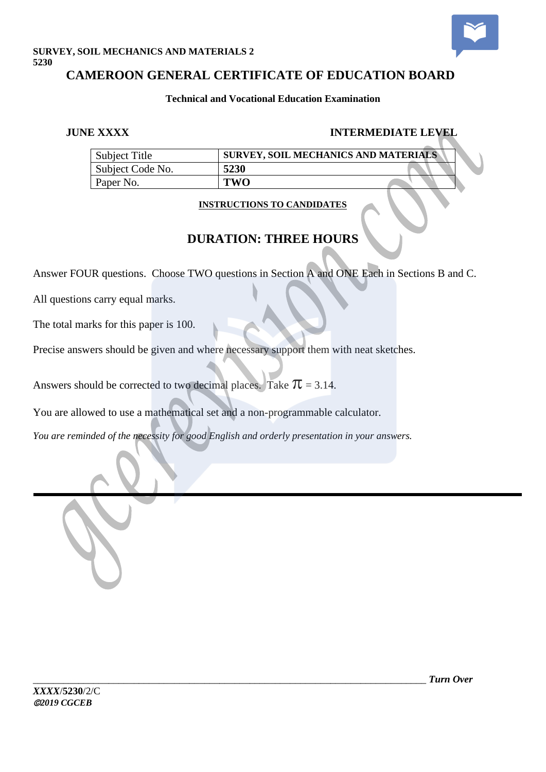

# **SURVEY, SOIL MECHANICS AND MATERIALS 2 5230**

# **CAMEROON GENERAL CERTIFICATE OF EDUCATION BOARD**

### **Technical and Vocational Education Examination**

# **JUNE XXXX INTERMEDIATE LEVEL**

| Subject Title    |      | SURVEY, SOIL MECHANICS AND MATERIALS |
|------------------|------|--------------------------------------|
| Subject Code No. | 5230 |                                      |
| Paper No.        | rwo  |                                      |

# **INSTRUCTIONS TO CANDIDATES**

# **DURATION: THREE HOURS**

Answer FOUR questions. Choose TWO questions in Section A and ONE Each in Sections B and C.

All questions carry equal marks.

The total marks for this paper is 100.

Precise answers should be given and where necessary support them with neat sketches.

Answers should be corrected to two decimal places. Take  $\pi$  = 3.14.

You are allowed to use a mathematical set and a non-programmable calculator.

*You are reminded of the necessity for good English and orderly presentation in your answers.*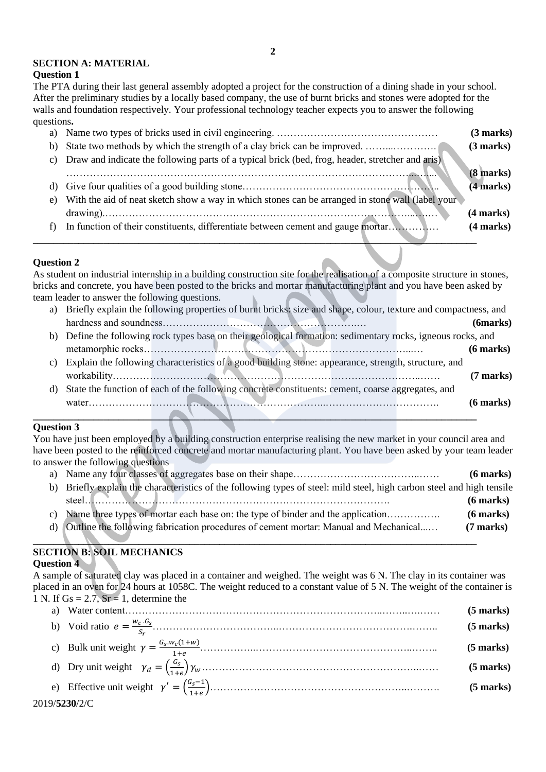#### **SECTION A: MATERIAL**

#### **Question 1**

The PTA during their last general assembly adopted a project for the construction of a dining shade in your school. After the preliminary studies by a locally based company, the use of burnt bricks and stones were adopted for the walls and foundation respectively. Your professional technology teacher expects you to answer the following questions**.**

|    |                                                                                                     | (3 marks)   |
|----|-----------------------------------------------------------------------------------------------------|-------------|
| b) |                                                                                                     | (3 marks)   |
|    | c) Draw and indicate the following parts of a typical brick (bed, frog, header, stretcher and aris) |             |
|    |                                                                                                     | $(8$ marks) |
|    |                                                                                                     | (4 marks)   |
| e) | With the aid of neat sketch show a way in which stones can be arranged in stone wall (label your    |             |
|    |                                                                                                     | (4 marks)   |
| f) | In function of their constituents, differentiate between cement and gauge mortar                    | (4 marks)   |

#### **Question 2**

As student on industrial internship in a building construction site for the realisation of a composite structure in stones, bricks and concrete, you have been posted to the bricks and mortar manufacturing plant and you have been asked by team leader to answer the following questions.

**\_\_\_\_\_\_\_\_\_\_\_\_\_\_\_\_\_\_\_\_\_\_\_\_\_\_\_\_\_\_\_\_\_\_\_\_\_\_\_\_\_\_\_\_\_\_\_\_\_\_\_\_\_\_\_\_\_\_\_\_\_\_\_\_\_\_\_\_\_\_\_\_\_\_\_\_\_\_\_\_\_\_\_\_\_\_\_\_**

- a) Briefly explain the following properties of burnt bricks: size and shape, colour, texture and compactness, and hardness and soundness………………………………………………….… **(6marks)** b) Define the following rock types base on their geological formation: sedimentary rocks, igneous rocks, and metamorphic rocks……………………………………………………………………...… **(6 marks)** c) Explain the following characteristics of a good building stone: appearance, strength, structure, and
- workability………………………………………………………………………………..…… **(7 marks)** d) State the function of each of the following concrete constituents: cement, coarse aggregates, and water……………………………………………………………..……………………………. **(6 marks)**

#### **\_\_\_\_\_\_\_\_\_\_\_\_\_\_\_\_\_\_\_\_\_\_\_\_\_\_\_\_\_\_\_\_\_\_\_\_\_\_\_\_\_\_\_\_\_\_\_\_\_\_\_\_\_\_\_\_\_\_\_\_\_\_\_\_\_\_\_\_\_\_\_\_\_\_\_\_\_\_\_\_\_\_\_\_\_\_\_\_ Question 3**

2019/**5230**/2/C

You have just been employed by a building construction enterprise realising the new market in your council area and have been posted to the reinforced concrete and mortar manufacturing plant. You have been asked by your team leader to answer the following questions

|    |                                                                                                                        | $(6$ marks) |
|----|------------------------------------------------------------------------------------------------------------------------|-------------|
|    | b) Briefly explain the characteristics of the following types of steel: mild steel, high carbon steel and high tensile |             |
|    | steel                                                                                                                  | $(6$ marks) |
|    | c) Name three types of mortar each base on: the type of binder and the application                                     | $(6$ marks) |
| d) | Outline the following fabrication procedures of cement mortar: Manual and Mechanical                                   | $(7$ marks) |
|    |                                                                                                                        |             |

#### **SECTION B: SOIL MECHANICS Question 4**

A sample of saturated clay was placed in a container and weighed. The weight was 6 N. The clay in its container was placed in an oven for 24 hours at 1058C. The weight reduced to a constant value of 5 N. The weight of the container is 1 N. If  $Gs = 2.7$ ,  $Sr = 1$ , determine the

|  | $(5$ marks) |
|--|-------------|
|  | $(5$ marks) |
|  | $(5$ marks) |
|  | $(5$ marks) |
|  | (5 marks)   |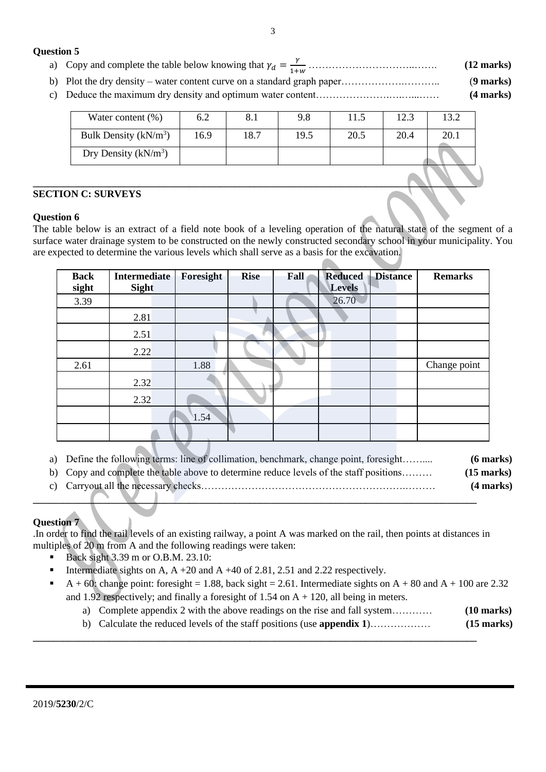#### **Question 5**

- a) Copy and complete the table below knowing that  $\gamma_d = \frac{\gamma}{1+\gamma}$ 1+ …………………………..……. **(12 marks)**
- b) Plot the dry density water content curve on a standard graph paper……………….……….. (**9 marks)**
- c) Deduce the maximum dry density and optimum water content………………….….…...…… **(4 marks)**

| Water content $(\% )$   | 6.2  | 8.1  | 9.8  | 11.5 | 12.3 | 13.2 |
|-------------------------|------|------|------|------|------|------|
| Bulk Density $(kN/m^3)$ | 16.9 | 18.7 | 19.5 | 20.5 | 20.4 | 20.1 |
| Dry Density $(kN/m^3)$  |      |      |      |      |      |      |
|                         |      |      |      |      |      |      |

#### **SECTION C: SURVEYS**

#### **Question 6**

The table below is an extract of a field note book of a leveling operation of the natural state of the segment of a surface water drainage system to be constructed on the newly constructed secondary school in your municipality. You are expected to determine the various levels which shall serve as a basis for the excavation.

| <b>Back</b><br>sight | <b>Intermediate</b><br><b>Sight</b> | Foresight | <b>Rise</b> | Fall | <b>Reduced</b><br><b>Levels</b> | <b>Distance</b> | <b>Remarks</b> |
|----------------------|-------------------------------------|-----------|-------------|------|---------------------------------|-----------------|----------------|
| 3.39                 |                                     |           |             |      | 26.70                           |                 |                |
|                      | 2.81                                |           |             |      |                                 |                 |                |
|                      | 2.51                                |           |             |      |                                 |                 |                |
|                      | 2.22                                |           |             |      |                                 |                 |                |
| 2.61                 |                                     | 1.88      |             |      |                                 |                 | Change point   |
|                      | 2.32                                |           |             |      |                                 |                 |                |
|                      | 2.32                                |           |             |      |                                 |                 |                |
|                      |                                     | 1.54      |             |      |                                 |                 |                |
|                      |                                     |           |             |      |                                 |                 |                |

|  | a) Define the following terms: line of collimation, benchmark, change point, foresight |  |  |  |  |  | $(6$ marks) |
|--|----------------------------------------------------------------------------------------|--|--|--|--|--|-------------|
|--|----------------------------------------------------------------------------------------|--|--|--|--|--|-------------|

b) Copy and complete the table above to determine reduce levels of the staff positions……… **(15 marks)** c) Carryout all the necessary checks…………………………………………………….……… **(4 marks)**

#### **Question 7**

.In order to find the rail levels of an existing railway, a point A was marked on the rail, then points at distances in multiples of 20 m from A and the following readings were taken:

**\_\_\_\_\_\_\_\_\_\_\_\_\_\_\_\_\_\_\_\_\_\_\_\_\_\_\_\_\_\_\_\_\_\_\_\_\_\_\_\_\_\_\_\_\_\_\_\_\_\_\_\_\_\_\_\_\_\_\_\_\_\_\_\_\_\_\_\_\_\_\_\_\_\_\_\_\_\_\_\_\_\_\_\_\_\_\_\_**

**\_\_\_\_\_\_\_\_\_\_\_\_\_\_\_\_\_\_\_\_\_\_\_\_\_\_\_\_\_\_\_\_\_\_\_\_\_\_\_\_\_\_\_\_\_\_\_\_\_\_\_\_\_\_\_\_\_\_\_\_\_\_\_\_\_\_\_\_\_\_\_\_\_\_\_\_\_\_\_\_\_\_\_\_\_\_\_\_**

Back sight 3.39 m or O.B.M. 23.10:

 $\blacksquare$ 

<u> Alban Maria Maria Maria Maria Maria Maria Maria Maria Maria Maria Maria Maria Maria Maria Maria Maria Maria </u>

- Intermediate sights on A,  $A + 20$  and  $A + 40$  of 2.81, 2.51 and 2.22 respectively.
- $A + 60$ : change point: foresight = 1.88, back sight = 2.61. Intermediate sights on  $A + 80$  and  $A + 100$  are 2.32 and 1.92 respectively; and finally a foresight of 1.54 on  $A + 120$ , all being in meters.
	- a) Complete appendix 2 with the above readings on the rise and fall system………… **(10 marks)**
	- b) Calculate the reduced levels of the staff positions (use **appendix 1**)……………… **(15 marks)**